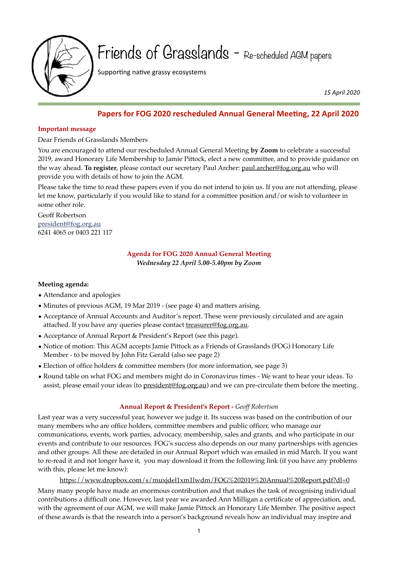

Friends of Grasslands - Re-scheduled AGM papers

Supporting native grassy ecosystems

 *15 April 2020*

# **Papers for FOG 2020 rescheduled Annual General Meeting, 22 April 2020**

### **Important message**

Dear Friends of Grasslands Members

You are encouraged to attend our rescheduled Annual General Meeting **by Zoom** to celebrate a successful 2019, award Honorary Life Membership to Jamie Pittock, elect a new committee, and to provide guidance on the way ahead. **To register**, please contact our secretary Paul Archer: [paul.archer@fog.org.au](mailto:paul.archer@fog.org.au) who will provide you with details of how to join the AGM.

Please take the time to read these papers even if you do not intend to join us. If you are not attending, please let me know, particularly if you would like to stand for a committee position and/or wish to volunteer in some other role.

Geoff Robertson [president@fog.org.au](mailto:president@fog.org.au) 6241 4065 or 0403 221 117

> **Agenda for FOG 2020 Annual General Meeting**  *Wednesday 22 April 5.00-5.40pm by Zoom*

# **Meeting agenda:**

- Attendance and apologies
- Minutes of previous AGM, 19 Mar 2019 (see page 4) and matters arising.
- Acceptance of Annual Accounts and Auditor's report. These were previously circulated and are again attached. If you have any queries please contact [treasurer@fog.org.au](mailto:treasurer@fog.org.au).
- Acceptance of Annual Report & President's Report (see this page).
- Notice of motion: This AGM accepts Jamie Pittock as a Friends of Grasslands (FOG) Honorary Life Member - to be moved by John Fitz Gerald (also see page 2)
- Election of office holders & committee members (for more information, see page 3)
- Round table on what FOG and members might do in Coronavirus times We want to hear your ideas. To assist, please email your ideas (to [president@fog.org.au\)](mailto:president@fog.org.au) and we can pre-circulate them before the meeting.

# **Annual Report & President's Report -** *Geoff Robertson*

Last year was a very successful year, however we judge it. Its success was based on the contribution of our many members who are office holders, committee members and public officer, who manage our communications, events, work parties, advocacy, membership, sales and grants, and who participate in our events and contribute to our resources. FOG's success also depends on our many partnerships with agencies and other groups. All these are detailed in our Annual Report which was emailed in mid March. If you want to re-read it and not longer have it, you may download it from the following link (if you have any problems with this, please let me know):

<https://www.dropbox.com/s/muxjdel1xm1lwdm/FOG%202019%20Annual%20Report.pdf?dl=0> Many many people have made an enormous contribution and that makes the task of recognising individual contributions a difficult one. However, last year we awarded Ann Milligan a certificate of appreciation, and, with the agreement of our AGM, we will make Jamie Pittock an Honorary Life Member. The positive aspect of these awards is that the research into a person's background reveals how an individual may inspire and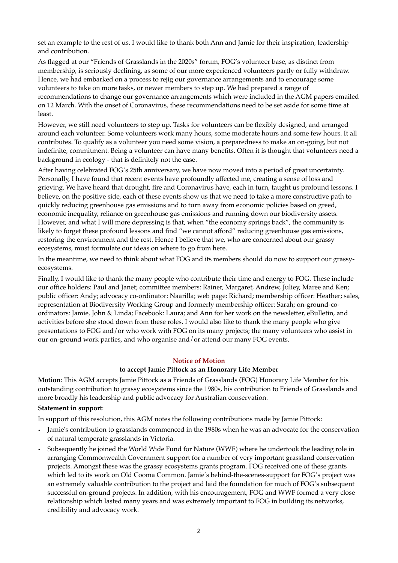set an example to the rest of us. I would like to thank both Ann and Jamie for their inspiration, leadership and contribution.

As flagged at our "Friends of Grasslands in the 2020s" forum, FOG's volunteer base, as distinct from membership, is seriously declining, as some of our more experienced volunteers partly or fully withdraw. Hence, we had embarked on a process to rejig our governance arrangements and to encourage some volunteers to take on more tasks, or newer members to step up. We had prepared a range of recommendations to change our governance arrangements which were included in the AGM papers emailed on 12 March. With the onset of Coronavirus, these recommendations need to be set aside for some time at least.

However, we still need volunteers to step up. Tasks for volunteers can be flexibly designed, and arranged around each volunteer. Some volunteers work many hours, some moderate hours and some few hours. It all contributes. To qualify as a volunteer you need some vision, a preparedness to make an on-going, but not indefinite, commitment. Being a volunteer can have many benefits. Often it is thought that volunteers need a background in ecology - that is definitely not the case.

After having celebrated FOG's 25th anniversary, we have now moved into a period of great uncertainty. Personally, I have found that recent events have profoundly affected me, creating a sense of loss and grieving. We have heard that drought, fire and Coronavirus have, each in turn, taught us profound lessons. I believe, on the positive side, each of these events show us that we need to take a more constructive path to quickly reducing greenhouse gas emissions and to turn away from economic policies based on greed, economic inequality, reliance on greenhouse gas emissions and running down our biodiversity assets. However, and what I will more depressing is that, when "the economy springs back", the community is likely to forget these profound lessons and find "we cannot afford" reducing greenhouse gas emissions, restoring the environment and the rest. Hence I believe that we, who are concerned about our grassy ecosystems, must formulate our ideas on where to go from here.

In the meantime, we need to think about what FOG and its members should do now to support our grassyecosystems.

Finally, I would like to thank the many people who contribute their time and energy to FOG. These include our office holders: Paul and Janet; committee members: Rainer, Margaret, Andrew, Juliey, Maree and Ken; public officer: Andy; advocacy co-ordinator: Naarilla; web page: Richard; membership officer: Heather; sales, representation at Biodiversity Working Group and formerly membership officer: Sarah; on-ground-coordinators: Jamie, John & Linda; Facebook: Laura; and Ann for her work on the newsletter, eBulletin, and activities before she stood down from these roles. I would also like to thank the many people who give presentations to FOG and/or who work with FOG on its many projects; the many volunteers who assist in our on-ground work parties, and who organise and/or attend our many FOG events.

### **Notice of Motion**

#### **to accept Jamie Pittock as an Honorary Life Member**

**Motion**: This AGM accepts Jamie Pittock as a Friends of Grasslands (FOG) Honorary Life Member for his outstanding contribution to grassy ecosystems since the 1980s, his contribution to Friends of Grasslands and more broadly his leadership and public advocacy for Australian conservation.

### **Statement in support**:

In support of this resolution, this AGM notes the following contributions made by Jamie Pittock:

- Jamie's contribution to grasslands commenced in the 1980s when he was an advocate for the conservation of natural temperate grasslands in Victoria.
- Subsequently he joined the World Wide Fund for Nature (WWF) where he undertook the leading role in arranging Commonwealth Government support for a number of very important grassland conservation projects. Amongst these was the grassy ecosystems grants program. FOG received one of these grants which led to its work on Old Cooma Common. Jamie's behind-the-scenes-support for FOG's project was an extremely valuable contribution to the project and laid the foundation for much of FOG's subsequent successful on-ground projects. In addition, with his encouragement, FOG and WWF formed a very close relationship which lasted many years and was extremely important to FOG in building its networks, credibility and advocacy work.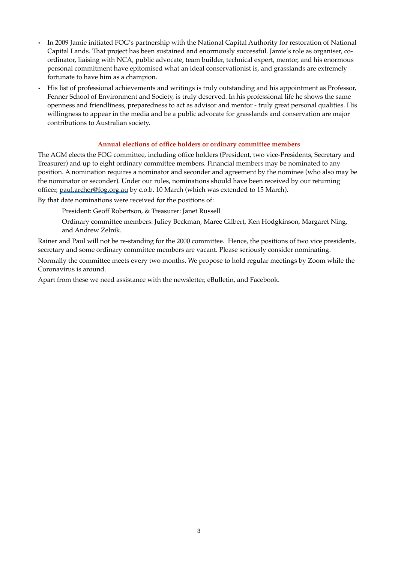- In 2009 Jamie initiated FOG's partnership with the National Capital Authority for restoration of National Capital Lands. That project has been sustained and enormously successful. Jamie's role as organiser, coordinator, liaising with NCA, public advocate, team builder, technical expert, mentor, and his enormous personal commitment have epitomised what an ideal conservationist is, and grasslands are extremely fortunate to have him as a champion.
- His list of professional achievements and writings is truly outstanding and his appointment as Professor, Fenner School of Environment and Society, is truly deserved. In his professional life he shows the same openness and friendliness, preparedness to act as advisor and mentor - truly great personal qualities. His willingness to appear in the media and be a public advocate for grasslands and conservation are major contributions to Australian society.

### **Annual elections of office holders or ordinary committee members**

The AGM elects the FOG committee, including office holders (President, two vice-Presidents, Secretary and Treasurer) and up to eight ordinary committee members. Financial members may be nominated to any position. A nomination requires a nominator and seconder and agreement by the nominee (who also may be the nominator or seconder). Under our rules, nominations should have been received by our returning officer, [paul.archer@fog.org.au](mailto:paul.archer@fog.org.au) by c.o.b. 10 March (which was extended to 15 March).

By that date nominations were received for the positions of:

President: Geoff Robertson, & Treasurer: Janet Russell

Ordinary committee members: Juliey Beckman, Maree Gilbert, Ken Hodgkinson, Margaret Ning, and Andrew Zelnik.

Rainer and Paul will not be re-standing for the 2000 committee. Hence, the positions of two vice presidents, secretary and some ordinary committee members are vacant. Please seriously consider nominating.

Normally the committee meets every two months. We propose to hold regular meetings by Zoom while the Coronavirus is around.

Apart from these we need assistance with the newsletter, eBulletin, and Facebook.